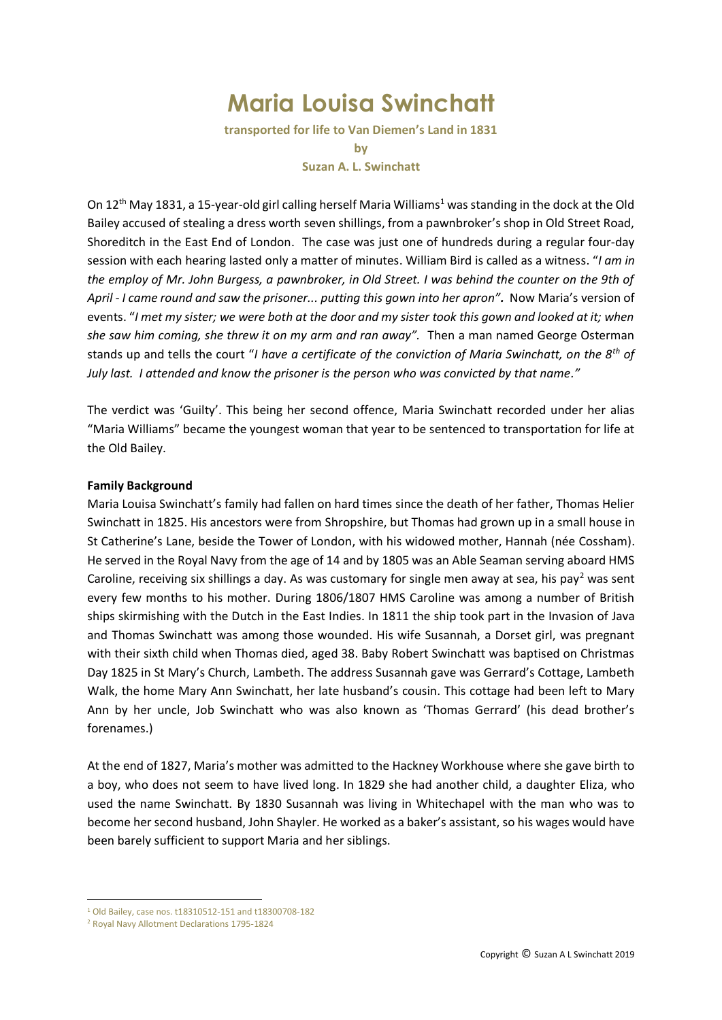# **Maria Louisa Swinchatt**

**transported for life to Van Diemen's Land in 1831 by Suzan A. L. Swinchatt**

On  $12<sup>th</sup>$  May 1831, a 15-year-old girl calling herself Maria Williams<sup>1</sup> was standing in the dock at the Old Bailey accused of stealing a dress worth seven shillings, from a pawnbroker's shop in Old Street Road, Shoreditch in the East End of London. The case was just one of hundreds during a regular four-day session with each hearing lasted only a matter of minutes. William Bird is called as a witness. "*I am in the employ of Mr. John Burgess, a pawnbroker, in Old Street. I was behind the counter on the 9th of April - I came round and saw the prisoner... putting this gown into her apron".* Now Maria's version of events. "*I met my sister; we were both at the door and my sister took this gown and looked at it; when she saw him coming, she threw it on my arm and ran away".* Then a man named George Osterman stands up and tells the court "*I have a certificate of the conviction of Maria Swinchatt, on the 8th of July last. I attended and know the prisoner is the person who was convicted by that name."* 

The verdict was 'Guilty'. This being her second offence, Maria Swinchatt recorded under her alias "Maria Williams" became the youngest woman that year to be sentenced to transportation for life at the Old Bailey.

# **Family Background**

Maria Louisa Swinchatt's family had fallen on hard times since the death of her father, Thomas Helier Swinchatt in 1825. His ancestors were from Shropshire, but Thomas had grown up in a small house in St Catherine's Lane, beside the Tower of London, with his widowed mother, Hannah (née Cossham). He served in the Royal Navy from the age of 14 and by 1805 was an Able Seaman serving aboard HMS Caroline, receiving six shillings a day. As was customary for single men away at sea, his pay<sup>2</sup> was sent every few months to his mother. During 1806/1807 HMS Caroline was among a number of British ships skirmishing with the Dutch in the East Indies. In 1811 the ship took part in the Invasion of Java and Thomas Swinchatt was among those wounded. His wife Susannah, a Dorset girl, was pregnant with their sixth child when Thomas died, aged 38. Baby Robert Swinchatt was baptised on Christmas Day 1825 in St Mary's Church, Lambeth. The address Susannah gave was Gerrard's Cottage, Lambeth Walk, the home Mary Ann Swinchatt, her late husband's cousin. This cottage had been left to Mary Ann by her uncle, Job Swinchatt who was also known as 'Thomas Gerrard' (his dead brother's forenames.)

At the end of 1827, Maria's mother was admitted to the Hackney Workhouse where she gave birth to a boy, who does not seem to have lived long. In 1829 she had another child, a daughter Eliza, who used the name Swinchatt. By 1830 Susannah was living in Whitechapel with the man who was to become her second husband, John Shayler. He worked as a baker's assistant, so his wages would have been barely sufficient to support Maria and her siblings.

1

<sup>1</sup> Old Bailey, case nos. t18310512-151 and t18300708-182

<sup>2</sup> Royal Navy Allotment Declarations 1795-1824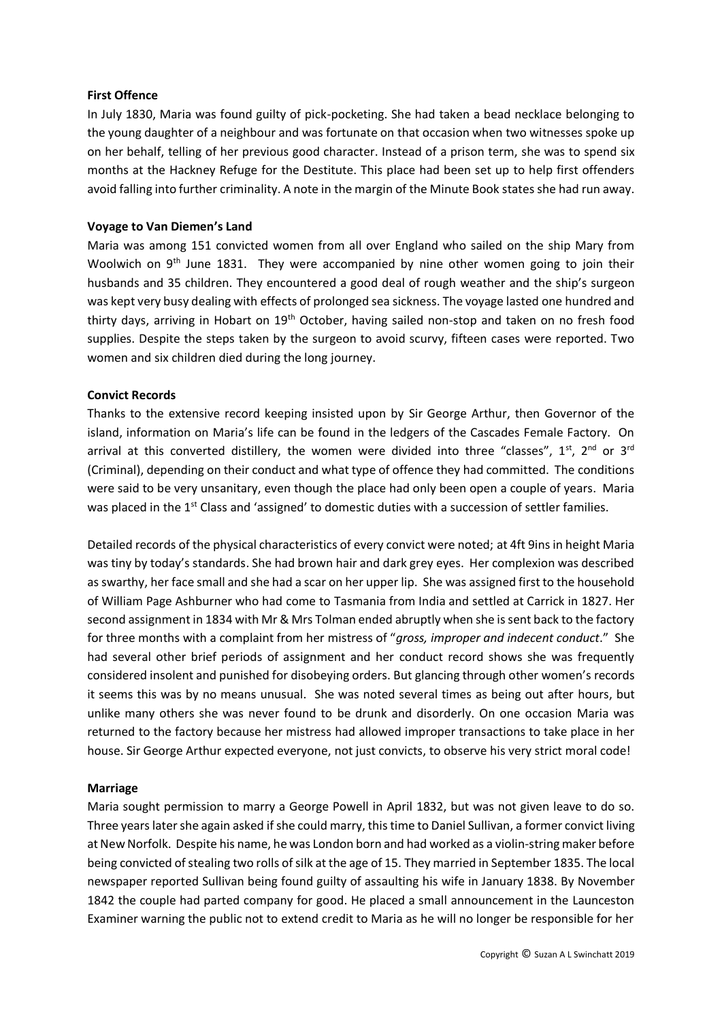## **First Offence**

In July 1830, Maria was found guilty of pick-pocketing. She had taken a bead necklace belonging to the young daughter of a neighbour and was fortunate on that occasion when two witnesses spoke up on her behalf, telling of her previous good character. Instead of a prison term, she was to spend six months at the Hackney Refuge for the Destitute. This place had been set up to help first offenders avoid falling into further criminality. A note in the margin of the Minute Book states she had run away.

## **Voyage to Van Diemen's Land**

Maria was among 151 convicted women from all over England who sailed on the ship Mary from Woolwich on 9<sup>th</sup> June 1831. They were accompanied by nine other women going to join their husbands and 35 children. They encountered a good deal of rough weather and the ship's surgeon was kept very busy dealing with effects of prolonged sea sickness. The voyage lasted one hundred and thirty days, arriving in Hobart on 19th October, having sailed non-stop and taken on no fresh food supplies. Despite the steps taken by the surgeon to avoid scurvy, fifteen cases were reported. Two women and six children died during the long journey.

## **Convict Records**

Thanks to the extensive record keeping insisted upon by Sir George Arthur, then Governor of the island, information on Maria's life can be found in the ledgers of the Cascades Female Factory. On arrival at this converted distillery, the women were divided into three "classes",  $1^{st}$ ,  $2^{nd}$  or  $3^{rd}$ (Criminal), depending on their conduct and what type of offence they had committed. The conditions were said to be very unsanitary, even though the place had only been open a couple of years. Maria was placed in the 1<sup>st</sup> Class and 'assigned' to domestic duties with a succession of settler families.

Detailed records of the physical characteristics of every convict were noted; at 4ft 9ins in height Maria was tiny by today's standards. She had brown hair and dark grey eyes. Her complexion was described as swarthy, her face small and she had a scar on her upper lip. She was assigned first to the household of William Page Ashburner who had come to Tasmania from India and settled at Carrick in 1827. Her second assignment in 1834 with Mr & Mrs Tolman ended abruptly when she is sent back to the factory for three months with a complaint from her mistress of "*gross, improper and indecent conduct*." She had several other brief periods of assignment and her conduct record shows she was frequently considered insolent and punished for disobeying orders. But glancing through other women's records it seems this was by no means unusual. She was noted several times as being out after hours, but unlike many others she was never found to be drunk and disorderly. On one occasion Maria was returned to the factory because her mistress had allowed improper transactions to take place in her house. Sir George Arthur expected everyone, not just convicts, to observe his very strict moral code!

#### **Marriage**

Maria sought permission to marry a George Powell in April 1832, but was not given leave to do so. Three years later she again asked if she could marry, this time to Daniel Sullivan, a former convict living at New Norfolk. Despite his name, he was London born and had worked as a violin-string maker before being convicted of stealing two rolls of silk at the age of 15. They married in September 1835. The local newspaper reported Sullivan being found guilty of assaulting his wife in January 1838. By November 1842 the couple had parted company for good. He placed a small announcement in the Launceston Examiner warning the public not to extend credit to Maria as he will no longer be responsible for her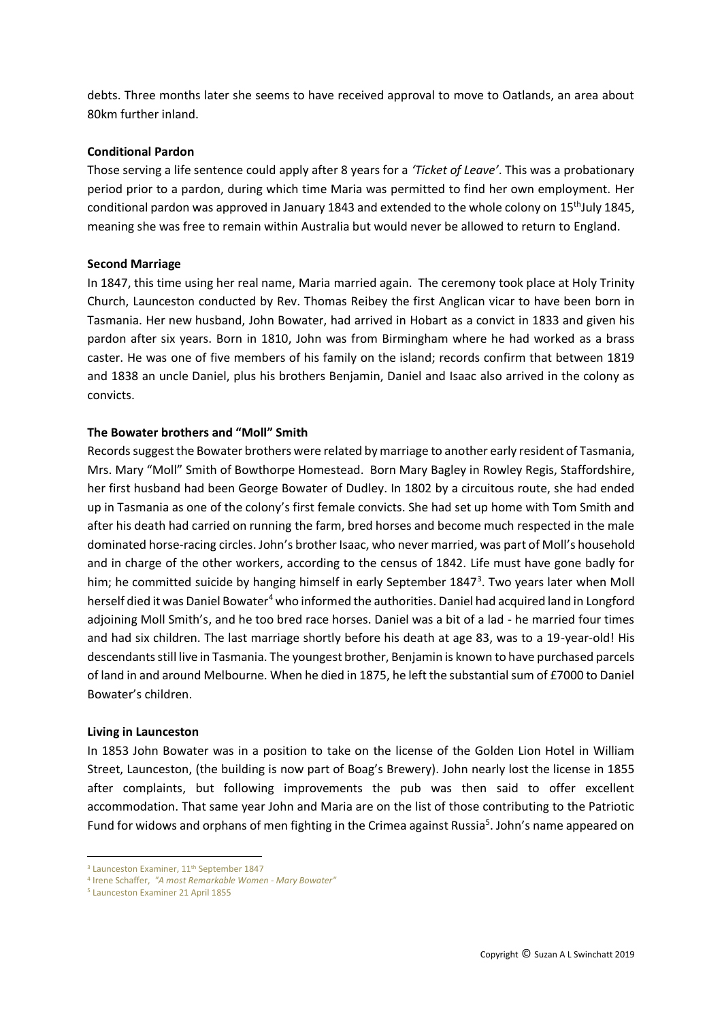debts. Three months later she seems to have received approval to move to Oatlands, an area about 80km further inland.

## **Conditional Pardon**

Those serving a life sentence could apply after 8 years for a *'Ticket of Leave'*. This was a probationary period prior to a pardon, during which time Maria was permitted to find her own employment. Her conditional pardon was approved in January 1843 and extended to the whole colony on 15<sup>th</sup>July 1845, meaning she was free to remain within Australia but would never be allowed to return to England.

## **Second Marriage**

In 1847, this time using her real name, Maria married again. The ceremony took place at Holy Trinity Church, Launceston conducted by Rev. Thomas Reibey the first Anglican vicar to have been born in Tasmania. Her new husband, John Bowater, had arrived in Hobart as a convict in 1833 and given his pardon after six years. Born in 1810, John was from Birmingham where he had worked as a brass caster. He was one of five members of his family on the island; records confirm that between 1819 and 1838 an uncle Daniel, plus his brothers Benjamin, Daniel and Isaac also arrived in the colony as convicts.

## **The Bowater brothers and "Moll" Smith**

Records suggest the Bowater brothers were related by marriage to another early resident of Tasmania, Mrs. Mary "Moll" Smith of Bowthorpe Homestead. Born Mary Bagley in Rowley Regis, Staffordshire, her first husband had been George Bowater of Dudley. In 1802 by a circuitous route, she had ended up in Tasmania as one of the colony's first female convicts. She had set up home with Tom Smith and after his death had carried on running the farm, bred horses and become much respected in the male dominated horse-racing circles. John's brother Isaac, who never married, was part of Moll's household and in charge of the other workers, according to the census of 1842. Life must have gone badly for him; he committed suicide by hanging himself in early September 1847<sup>3</sup>. Two years later when Moll herself died it was Daniel Bowater<sup>4</sup> who informed the authorities. Daniel had acquired land in Longford adjoining Moll Smith's, and he too bred race horses. Daniel was a bit of a lad - he married four times and had six children. The last marriage shortly before his death at age 83, was to a 19-year-old! His descendants still live in Tasmania. The youngest brother, Benjamin is known to have purchased parcels of land in and around Melbourne. When he died in 1875, he left the substantial sum of £7000 to Daniel Bowater's children.

#### **Living in Launceston**

In 1853 John Bowater was in a position to take on the license of the Golden Lion Hotel in William Street, Launceston, (the building is now part of Boag's Brewery). John nearly lost the license in 1855 after complaints, but following improvements the pub was then said to offer excellent accommodation. That same year John and Maria are on the list of those contributing to the Patriotic Fund for widows and orphans of men fighting in the Crimea against Russia<sup>5</sup>. John's name appeared on

1

<sup>&</sup>lt;sup>3</sup> Launceston Examiner, 11<sup>th</sup> September 1847

<sup>4</sup> Irene Schaffer, *"A most Remarkable Women - Mary Bowater"*

<sup>5</sup> Launceston Examiner 21 April 1855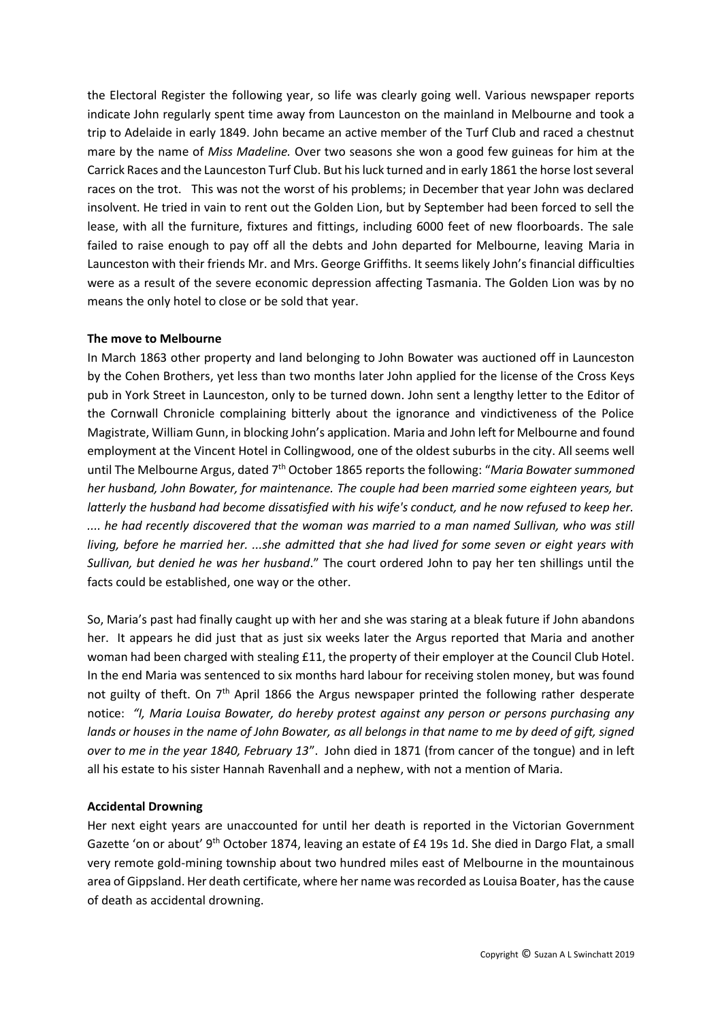the Electoral Register the following year, so life was clearly going well. Various newspaper reports indicate John regularly spent time away from Launceston on the mainland in Melbourne and took a trip to Adelaide in early 1849. John became an active member of the Turf Club and raced a chestnut mare by the name of *Miss Madeline.* Over two seasons she won a good few guineas for him at the Carrick Races and the Launceston Turf Club. But his luck turned and in early 1861 the horse lost several races on the trot. This was not the worst of his problems; in December that year John was declared insolvent. He tried in vain to rent out the Golden Lion, but by September had been forced to sell the lease, with all the furniture, fixtures and fittings, including 6000 feet of new floorboards. The sale failed to raise enough to pay off all the debts and John departed for Melbourne, leaving Maria in Launceston with their friends Mr. and Mrs. George Griffiths. It seems likely John's financial difficulties were as a result of the severe economic depression affecting Tasmania. The Golden Lion was by no means the only hotel to close or be sold that year.

# **The move to Melbourne**

In March 1863 other property and land belonging to John Bowater was auctioned off in Launceston by the Cohen Brothers, yet less than two months later John applied for the license of the Cross Keys pub in York Street in Launceston, only to be turned down. John sent a lengthy letter to the Editor of the Cornwall Chronicle complaining bitterly about the ignorance and vindictiveness of the Police Magistrate, William Gunn, in blocking John's application. Maria and John left for Melbourne and found employment at the Vincent Hotel in Collingwood, one of the oldest suburbs in the city. All seems well until The Melbourne Argus, dated 7<sup>th</sup> October 1865 reports the following: "Maria Bowater summoned *her husband, John Bowater, for maintenance. The couple had been married some eighteen years, but latterly the husband had become dissatisfied with his wife's conduct, and he now refused to keep her. .... he had recently discovered that the woman was married to a man named Sullivan, who was still living, before he married her. ...she admitted that she had lived for some seven or eight years with Sullivan, but denied he was her husband*." The court ordered John to pay her ten shillings until the facts could be established, one way or the other.

So, Maria's past had finally caught up with her and she was staring at a bleak future if John abandons her. It appears he did just that as just six weeks later the Argus reported that Maria and another woman had been charged with stealing £11, the property of their employer at the Council Club Hotel. In the end Maria was sentenced to six months hard labour for receiving stolen money, but was found not guilty of theft. On  $7<sup>th</sup>$  April 1866 the Argus newspaper printed the following rather desperate notice: *"I, Maria Louisa Bowater, do hereby protest against any person or persons purchasing any*  lands or houses in the name of John Bowater, as all belongs in that name to me by deed of gift, signed *over to me in the year 1840, February 13*". John died in 1871 (from cancer of the tongue) and in left all his estate to his sister Hannah Ravenhall and a nephew, with not a mention of Maria.

#### **Accidental Drowning**

Her next eight years are unaccounted for until her death is reported in the Victorian Government Gazette 'on or about' 9<sup>th</sup> October 1874, leaving an estate of £4 19s 1d. She died in Dargo Flat, a small very remote gold-mining township about two hundred miles east of Melbourne in the mountainous area of Gippsland. Her death certificate, where her name was recorded as Louisa Boater, has the cause of death as accidental drowning.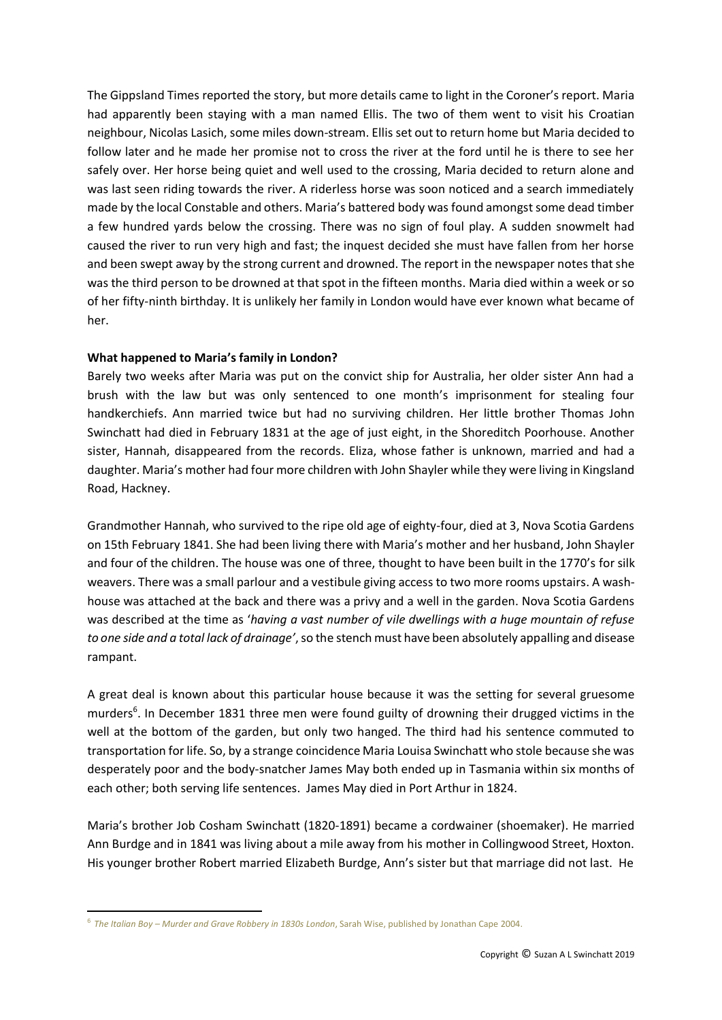The Gippsland Times reported the story, but more details came to light in the Coroner's report. Maria had apparently been staying with a man named Ellis. The two of them went to visit his Croatian neighbour, Nicolas Lasich, some miles down-stream. Ellis set out to return home but Maria decided to follow later and he made her promise not to cross the river at the ford until he is there to see her safely over. Her horse being quiet and well used to the crossing, Maria decided to return alone and was last seen riding towards the river. A riderless horse was soon noticed and a search immediately made by the local Constable and others. Maria's battered body was found amongst some dead timber a few hundred yards below the crossing. There was no sign of foul play. A sudden snowmelt had caused the river to run very high and fast; the inquest decided she must have fallen from her horse and been swept away by the strong current and drowned. The report in the newspaper notes that she was the third person to be drowned at that spot in the fifteen months. Maria died within a week or so of her fifty-ninth birthday. It is unlikely her family in London would have ever known what became of her.

# **What happened to Maria's family in London?**

Barely two weeks after Maria was put on the convict ship for Australia, her older sister Ann had a brush with the law but was only sentenced to one month's imprisonment for stealing four handkerchiefs. Ann married twice but had no surviving children. Her little brother Thomas John Swinchatt had died in February 1831 at the age of just eight, in the Shoreditch Poorhouse. Another sister, Hannah, disappeared from the records. Eliza, whose father is unknown, married and had a daughter. Maria's mother had four more children with John Shayler while they were living in Kingsland Road, Hackney.

Grandmother Hannah, who survived to the ripe old age of eighty-four, died at 3, Nova Scotia Gardens on 15th February 1841. She had been living there with Maria's mother and her husband, John Shayler and four of the children. The house was one of three, thought to have been built in the 1770's for silk weavers. There was a small parlour and a vestibule giving access to two more rooms upstairs. A washhouse was attached at the back and there was a privy and a well in the garden. Nova Scotia Gardens was described at the time as '*having a vast number of vile dwellings with a huge mountain of refuse to one side and a total lack of drainage'*,so the stench must have been absolutely appalling and disease rampant.

A great deal is known about this particular house because it was the setting for several gruesome murders<sup>6</sup>. In December 1831 three men were found guilty of drowning their drugged victims in the well at the bottom of the garden, but only two hanged. The third had his sentence commuted to transportation for life. So, by a strange coincidence Maria Louisa Swinchatt who stole because she was desperately poor and the body-snatcher James May both ended up in Tasmania within six months of each other; both serving life sentences. James May died in Port Arthur in 1824.

Maria's brother Job Cosham Swinchatt (1820-1891) became a cordwainer (shoemaker). He married Ann Burdge and in 1841 was living about a mile away from his mother in Collingwood Street, Hoxton. His younger brother Robert married Elizabeth Burdge, Ann's sister but that marriage did not last. He

1

<sup>6</sup> *The Italian Boy – Murder and Grave Robbery in 1830s London*, Sarah Wise, published by Jonathan Cape 2004.